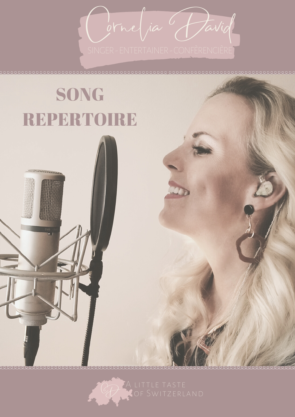orne ja Javid

## **SONG** REPERTOIRE

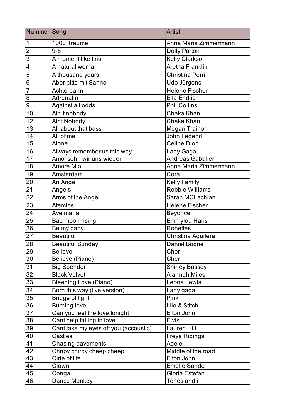| <b>Nummer Song</b> |                                       | <b>Artist</b>           |
|--------------------|---------------------------------------|-------------------------|
| $\mathbf 1$        | 1000 Träume                           | Anna Maria Zimmermann   |
| $\overline{2}$     | $9 - 5$                               | <b>Dolly Parton</b>     |
| 3                  | A moment like this                    | <b>Kelly Clarkson</b>   |
| 4                  | A natural woman                       | <b>Aretha Franklin</b>  |
| 5                  | A thousand years                      | Christina Perri         |
| 6                  | Aber bitte mit Sahne                  | Udo Jürgens             |
| $\overline{7}$     | Achterbahn                            | <b>Helene Fischer</b>   |
| 8                  | Adrenalin                             | Ella Endlich            |
| 9                  | Against all odds                      | Phil Collins            |
| 10                 | Ain't nobody                          | Chaka Khan              |
| 12                 | <b>Aint Nobody</b>                    | Chaka Khan              |
| 13                 | All about that bass                   | <b>Megan Trainor</b>    |
| 14                 | All of me                             | John Legend             |
| 15                 | Alone                                 | <b>Celine Dion</b>      |
| 16                 | Always remember us this way           | Lady Gaga               |
| 17                 | Amoi sehn wir uns wieder              | <b>Andreas Gabalier</b> |
| 18                 | Amore Mio                             | Anna Maria Zimmermann   |
| 19                 | Amsterdam                             | Cora                    |
| 20                 | An Angel                              | <b>Kelly Family</b>     |
| 21                 | Angels                                | <b>Robbie Williams</b>  |
| 22                 | Arms of the Angel                     | Sarah MCLachlan         |
| 23                 | <b>Atemlos</b>                        | <b>Helene Fischer</b>   |
| 24                 | Ave maria                             | Beyonce                 |
| 25                 | Bad moon rising                       | <b>Emmylou Haris</b>    |
| 26                 | Be my baby                            | Ronettes                |
| $\overline{27}$    | <b>Beautiful</b>                      | Christina Aquilera      |
| 28                 | Beautiful Sunday                      | <b>Daniel Boone</b>     |
| 29                 | <b>Believe</b>                        | Cher                    |
| 30                 | Believe (Piano)                       | Cher                    |
| 31                 | <b>Big Spender</b>                    | <b>Shirley Bassey</b>   |
| $\overline{32}$    | <b>Black Velvet</b>                   | <b>Alannah Miles</b>    |
| 33                 | <b>Bleeding Love (Piano)</b>          | Leona Lewis             |
| 34                 | Born this way (live version)          | Lady gaga               |
| 35                 | Bridge of light                       | Pink                    |
| 36                 | Burning love                          | Lilo & Stitch           |
| 37                 | Can you feel the love tonight         | Elton John              |
| 38                 | Cant help falling in love             | <b>Elvis</b>            |
| 39                 | Cant take my eyes off you (accoustic) | Lauren HilL             |
| 40                 | <b>Castles</b>                        | Freya Ridings           |
| 41                 | Chasing pavements                     | Adele                   |
| $\overline{42}$    | Chripy chirpy cheep cheep             | Middle of the road      |
| 43                 | Cirle of life                         | Elton John              |
| 44                 | Clown                                 | <b>Emelie Sande</b>     |
| 45                 | Conga                                 | Gloria Estefan          |
| 46                 | Dance Monkey                          | Tones and i             |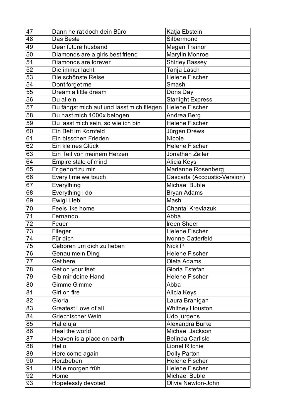| 47              | Dann heirat doch dein Büro                | Katja Ebstein               |
|-----------------|-------------------------------------------|-----------------------------|
| 48              | Das Beste                                 | Silbermond                  |
| 49              | Dear future husband                       | Megan Trainor               |
| 50              | Diamonds are a girls best friend          | <b>Marylin Monroe</b>       |
| 51              | Diamonds are forever                      | <b>Shirley Bassey</b>       |
| $\overline{52}$ | Die immer lacht                           | Tanja Lasch                 |
| 53              | Die schönste Reise                        | Helene Fischer              |
| 54              | Dont forget me                            | Smash                       |
| 55              | Dream a little dream                      | Doris Day                   |
| 56              | Du allein                                 | <b>Starlight Express</b>    |
| 57              | Du fängst mich auf und lässt mich fliegen | <b>Helene Fischer</b>       |
| 58              | Du hast mich 1000x belogen                | Andrea Berg                 |
| 59              | Du lässt mich sein, so wie ich bin        | <b>Helene Fischer</b>       |
| 60              | Ein Bett im Kornfeld                      | Jürgen Drews                |
| 61              | Ein bisschen Frieden                      | Nicole                      |
| 62              | Ein kleines Glück                         | <b>Helene Fischer</b>       |
| 63              | Ein Teil von meinem Herzen                | Jonathan Zelter             |
| 64              | Empire state of mind                      | Alicia Keys                 |
| 65              | Er gehört zu mir                          | Marianne Rosenberg          |
| 66              | Every time we touch                       | Cascada (Accoustic-Version) |
| 67              | Everything                                | <b>Michael Buble</b>        |
| 68              | Everything i do                           | <b>Bryan Adams</b>          |
| 69              | Ewigi Liebi                               | Mash                        |
| 70              | Feels like home                           | <b>Chantal Kreviazuk</b>    |
| 71              | Fernando                                  | Abba                        |
| $\overline{72}$ | Feuer                                     | <b>Ireen Sheer</b>          |
| $\overline{73}$ | Flieger                                   | <b>Helene Fischer</b>       |
| 74              | Für dich                                  | Ivonne Catterfeld           |
| 75              | Geboren um dich zu lieben                 | Nick P                      |
| 76              | Genau mein Ding                           | <b>Helene Fischer</b>       |
| 77              | Get here                                  | Oleta Adams                 |
| 78              | Get on your feet                          | Gloria Estefan              |
| 79              | Gib mir deine Hand                        | <b>Helene Fischer</b>       |
| 80              | <b>Gimme Gimme</b>                        | Abba                        |
| 81              | Girl on fire                              | Alicia Keys                 |
| 82              | Gloria                                    | Laura Branigan              |
| 83              | <b>Greatest Love of all</b>               | <b>Whitney Houston</b>      |
| 84              | <b>Griechischer Wein</b>                  | Udo jürgens                 |
| 85              | Halleluja                                 | Alexandra Burke             |
| 86              | Heal the world                            | Michael Jackson             |
| 87              | Heaven is a place on earth                | <b>Belinda Carlisle</b>     |
| 88              | Hello                                     | <b>Lionel Ritchie</b>       |
| 89              | Here come again                           | <b>Dolly Parton</b>         |
| 90              | Herzbeben                                 | <b>Helene Fischer</b>       |
| 91              | Hölle morgen früh                         | <b>Helene Fischer</b>       |
| 92              | Home                                      | <b>Michael Buble</b>        |
| 93              | Hopelessly devoted                        | Olivia Newton-John          |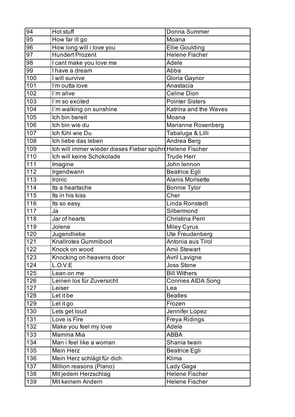| 94    | Hot stuff                                                | Donna Summer             |
|-------|----------------------------------------------------------|--------------------------|
| 95    | How far ill go                                           | Moana                    |
| 96    | How long will i love you                                 | <b>Ellie Goulding</b>    |
| 97    | Hundert Prozent                                          | Helene Fischer           |
| 98    | I cant make you love me                                  | Adele                    |
| 99    | I have a dream                                           | Abba                     |
| 100   | I will survive                                           | Gloria Gaynor            |
| 101   | I'm outta love                                           | Anastacia                |
| 102   | I'm alive                                                | <b>Celine Dion</b>       |
| 103   | I'm so excited                                           | <b>Pointer Sisters</b>   |
| 104   | I'm walking on sunshine                                  | Katrina and the Waves    |
| 105   | Ich bin bereit                                           | Moana                    |
| 106   | Ich bin wie du                                           | Marianne Rosenberg       |
| 107   | Ich fühl wie Du                                          | Tabaluga & Lilli         |
| 108   | Ich liebe das leben                                      | Andrea Berg              |
| 109   | Ich will immer wieder dieses Fieber spühr Helene Fischer |                          |
| 110   | Ich will keine Schokolade                                | <b>Trude Herr</b>        |
| $111$ | Imagine                                                  | John lennon              |
| 112   | Irgendwann                                               | <b>Beatrice Egli</b>     |
| 113   | Ironic                                                   | <b>Alanis Morisette</b>  |
| 114   | Its a heartache                                          | <b>Bonnie Tylor</b>      |
| 115   | Its in his kiss                                          | Cher                     |
| 116   | Its so easy                                              | <b>Linda Ronstedt</b>    |
| 117   | Ja                                                       | Silbermond               |
| 118   | Jar of hearts                                            | Christina Perri          |
| 119   | Jolene                                                   | <b>Miley Cyrus</b>       |
| 120   | Jugendliebe                                              | Ute Freudenberg          |
| 121   | <b>Knallrotes Gummiboot</b>                              | Antonia aus Tirol        |
| 122   | Knock on wood                                            | Amii Stewart             |
| 123   | Knocking on heavens door                                 | <b>Avril Lavigne</b>     |
| 124   | L.O.V.E                                                  | <b>Joss Stone</b>        |
| 125   | Lean on me                                               | <b>Bill Withers</b>      |
| 126   | Leinen los für Zuversicht                                | <b>Connies AIDA Song</b> |
| 127   | Leiser                                                   | Lea                      |
| 128   | Let it be                                                | <b>Beatles</b>           |
| 129   | Let it go                                                | Frozen                   |
| 130   | Lets get loud                                            | Jennifer Lopez           |
| 131   | Love is Fire                                             | Freya Ridings            |
| 132   | Make you feel my love                                    | Adele                    |
| 133   | Mamma Mia                                                | <b>ABBA</b>              |
| 134   | Man i feel like a woman                                  | Shania twain             |
| 135   | Mein Herz                                                | <b>Beatrice Egli</b>     |
| 136   | Mein Herz schlägt für dich                               | Klima                    |
| 137   | Million reasons (Piano)                                  | Lady Gaga                |
| 138   | Mit jedem Herzschlag                                     | <b>Helene Fischer</b>    |
| 139   | Mit keinem Andern                                        | <b>Helene Fischer</b>    |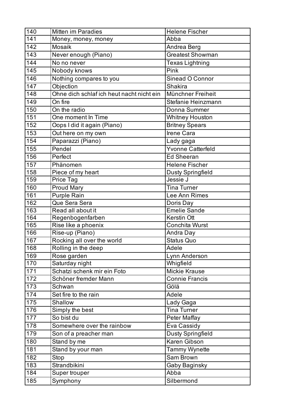| 140 | <b>Mitten im Paradies</b>                 | <b>Helene Fischer</b>    |
|-----|-------------------------------------------|--------------------------|
| 141 | Money, money, money                       | Abba                     |
| 142 | <b>Mosaik</b>                             | Andrea Berg              |
| 143 | Never enough (Piano)                      | <b>Greatest Showman</b>  |
| 144 | No no never                               | <b>Texas Lightning</b>   |
| 145 | Nobody knows                              | Pink                     |
| 146 | Nothing compares to you                   | Sinead O Connor          |
| 147 | Objection                                 | <b>Shakira</b>           |
| 148 | Ohne dich schlaf ich heut nacht nicht ein | Münchner Freiheit        |
| 149 | On fire                                   | Stefanie Heinzmann       |
| 150 | On the radio                              | Donna Summer             |
| 151 | One moment In Time                        | <b>Whitney Houston</b>   |
| 152 | Oops I did it again (Piano)               | <b>Britney Spears</b>    |
| 153 | Out here on my own                        | Irene Cara               |
| 154 | Paparazzi (Piano)                         | Lady gaga                |
| 155 | Pendel                                    | <b>Yvonne Catterfeld</b> |
| 156 | Perfect                                   | <b>Ed Sheeran</b>        |
| 157 | Phänomen                                  | <b>Helene Fischer</b>    |
| 158 | Piece of my heart                         | <b>Dusty Springfield</b> |
| 159 | Price Tag                                 | Jessie J                 |
| 160 | <b>Proud Mary</b>                         | <b>Tina Turner</b>       |
| 161 | Purple Rain                               | Lee Ann Rimes            |
| 162 | Que Sera Sera                             | Doris Day                |
| 163 | Read all about it                         | <b>Emelie Sande</b>      |
| 164 | Regenbogenfarben                          | Kerstin Ott              |
| 165 | Rise like a phoenix                       | <b>Conchita Wurst</b>    |
| 166 | Rise-up (Piano)                           | Andra Day                |
| 167 | Rocking all over the world                | <b>Status Quo</b>        |
| 168 | Rolling in the deep                       | Adele                    |
| 169 | Rose garden                               | Lynn Anderson            |
| 170 | Saturday night                            | Whigfield                |
| 171 | Schatzi schenk mir ein Foto               | <b>Mickie Krause</b>     |
| 172 | Schöner fremder Mann                      | <b>Connie Francis</b>    |
| 173 | Schwan                                    | Gölä                     |
| 174 | Set fire to the rain                      | Adele                    |
| 175 | Shallow                                   | Lady Gaga                |
| 176 | Simply the best                           | <b>Tina Turner</b>       |
| 177 | So bist du                                | Peter Maffay             |
| 178 | Somewhere over the rainbow                | Eva Cassidy              |
| 179 | Son of a preacher man                     | <b>Dusty Springfield</b> |
| 180 | Stand by me                               | Karen Gibson             |
| 181 | Stand by your man                         | <b>Tammy Wynette</b>     |
| 182 | Stop                                      | Sam Brown                |
| 183 | Strandbikini                              | Gaby Baginsky            |
| 184 | Super trouper                             | Abba                     |
| 185 | Symphony                                  | Silbermond               |